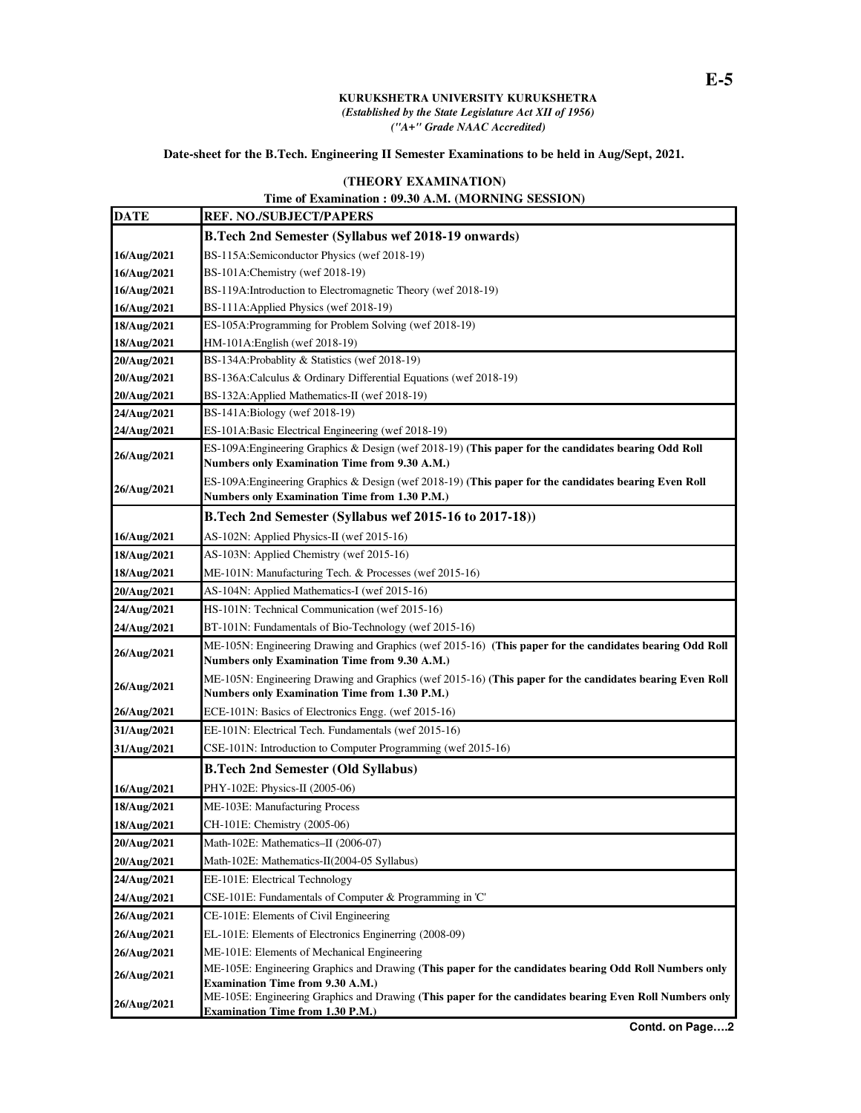## **KURUKSHETRA UNIVERSITY KURUKSHETRA**  *(Established by the State Legislature Act XII of 1956) ("A+" Grade NAAC Accredited)*

## **Date-sheet for the B.Tech. Engineering II Semester Examinations to be held in Aug/Sept, 2021.**

## **(THEORY EXAMINATION)**

## **Time of Examination : 09.30 A.M. (MORNING SESSION)**

| <b>REF. NO./SUBJECT/PAPERS</b>                                                                                                                                                                |
|-----------------------------------------------------------------------------------------------------------------------------------------------------------------------------------------------|
| <b>B.Tech 2nd Semester (Syllabus wef 2018-19 onwards)</b>                                                                                                                                     |
| BS-115A:Semiconductor Physics (wef 2018-19)                                                                                                                                                   |
| BS-101A:Chemistry (wef 2018-19)                                                                                                                                                               |
| BS-119A: Introduction to Electromagnetic Theory (wef 2018-19)                                                                                                                                 |
| BS-111A: Applied Physics (wef 2018-19)                                                                                                                                                        |
| ES-105A: Programming for Problem Solving (wef 2018-19)                                                                                                                                        |
| HM-101A: English (wef 2018-19)                                                                                                                                                                |
| BS-134A: Probablity & Statistics (wef 2018-19)                                                                                                                                                |
| BS-136A:Calculus & Ordinary Differential Equations (wef 2018-19)                                                                                                                              |
| BS-132A: Applied Mathematics-II (wef 2018-19)                                                                                                                                                 |
| BS-141A:Biology (wef 2018-19)                                                                                                                                                                 |
| ES-101A:Basic Electrical Engineering (wef 2018-19)                                                                                                                                            |
| ES-109A: Engineering Graphics & Design (wef 2018-19) (This paper for the candidates bearing Odd Roll<br>Numbers only Examination Time from 9.30 A.M.)                                         |
| ES-109A: Engineering Graphics & Design (wef 2018-19) (This paper for the candidates bearing Even Roll<br>Numbers only Examination Time from 1.30 P.M.)                                        |
| B.Tech 2nd Semester (Syllabus wef 2015-16 to 2017-18))                                                                                                                                        |
| AS-102N: Applied Physics-II (wef 2015-16)                                                                                                                                                     |
| AS-103N: Applied Chemistry (wef 2015-16)                                                                                                                                                      |
| ME-101N: Manufacturing Tech. & Processes (wef 2015-16)                                                                                                                                        |
| AS-104N: Applied Mathematics-I (wef 2015-16)                                                                                                                                                  |
| HS-101N: Technical Communication (wef 2015-16)                                                                                                                                                |
| BT-101N: Fundamentals of Bio-Technology (wef 2015-16)                                                                                                                                         |
| ME-105N: Engineering Drawing and Graphics (wef 2015-16) (This paper for the candidates bearing Odd Roll                                                                                       |
| Numbers only Examination Time from 9.30 A.M.)                                                                                                                                                 |
| ME-105N: Engineering Drawing and Graphics (wef 2015-16) (This paper for the candidates bearing Even Roll                                                                                      |
| Numbers only Examination Time from 1.30 P.M.)                                                                                                                                                 |
| ECE-101N: Basics of Electronics Engg. (wef 2015-16)                                                                                                                                           |
| EE-101N: Electrical Tech. Fundamentals (wef 2015-16)                                                                                                                                          |
| CSE-101N: Introduction to Computer Programming (wef 2015-16)                                                                                                                                  |
| <b>B.Tech 2nd Semester (Old Syllabus)</b>                                                                                                                                                     |
| PHY-102E: Physics-II (2005-06)                                                                                                                                                                |
| ME-103E: Manufacturing Process                                                                                                                                                                |
| CH-101E: Chemistry (2005-06)                                                                                                                                                                  |
| Math-102E: Mathematics-II (2006-07)                                                                                                                                                           |
| Math-102E: Mathematics-II(2004-05 Syllabus)                                                                                                                                                   |
| EE-101E: Electrical Technology                                                                                                                                                                |
| CSE-101E: Fundamentals of Computer & Programming in 'C'                                                                                                                                       |
| CE-101E: Elements of Civil Engineering                                                                                                                                                        |
| EL-101E: Elements of Electronics Enginerring (2008-09)                                                                                                                                        |
| ME-101E: Elements of Mechanical Engineering                                                                                                                                                   |
| ME-105E: Engineering Graphics and Drawing (This paper for the candidates bearing Odd Roll Numbers only                                                                                        |
| <b>Examination Time from 9.30 A.M.)</b><br>ME-105E: Engineering Graphics and Drawing (This paper for the candidates bearing Even Roll Numbers only<br><b>Examination Time from 1.30 P.M.)</b> |
|                                                                                                                                                                                               |